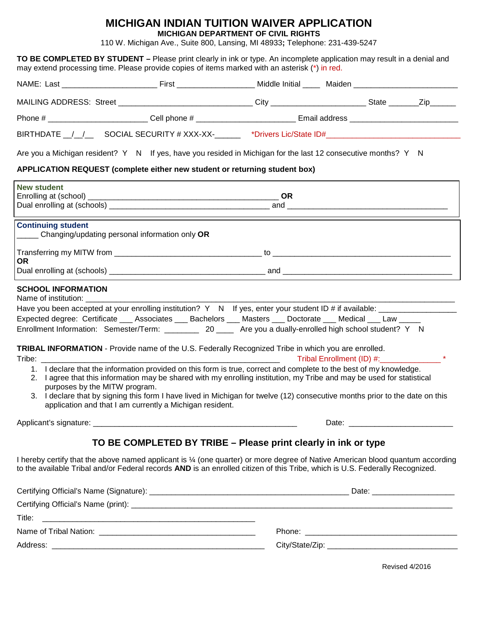## **MICHIGAN INDIAN TUITION WAIVER APPLICATION**

**MICHIGAN DEPARTMENT OF CIVIL RIGHTS**

110 W. Michigan Ave., Suite 800, Lansing, MI 48933**;** Telephone: 231-439-5247

|                                                                                                                                                                                                                                                                                                    | TO BE COMPLETED BY STUDENT – Please print clearly in ink or type. An incomplete application may result in a denial and<br>may extend processing time. Please provide copies of items marked with an asterisk (*) in red.                                                                                                                                                                                                                                                                                                                                                                                                                                                                                                                                                                                                                                                                                        |  |  |  |  |
|----------------------------------------------------------------------------------------------------------------------------------------------------------------------------------------------------------------------------------------------------------------------------------------------------|-----------------------------------------------------------------------------------------------------------------------------------------------------------------------------------------------------------------------------------------------------------------------------------------------------------------------------------------------------------------------------------------------------------------------------------------------------------------------------------------------------------------------------------------------------------------------------------------------------------------------------------------------------------------------------------------------------------------------------------------------------------------------------------------------------------------------------------------------------------------------------------------------------------------|--|--|--|--|
|                                                                                                                                                                                                                                                                                                    |                                                                                                                                                                                                                                                                                                                                                                                                                                                                                                                                                                                                                                                                                                                                                                                                                                                                                                                 |  |  |  |  |
|                                                                                                                                                                                                                                                                                                    | MAILING ADDRESS: Street _______________________________City _____________________State _______Zip_______                                                                                                                                                                                                                                                                                                                                                                                                                                                                                                                                                                                                                                                                                                                                                                                                        |  |  |  |  |
|                                                                                                                                                                                                                                                                                                    |                                                                                                                                                                                                                                                                                                                                                                                                                                                                                                                                                                                                                                                                                                                                                                                                                                                                                                                 |  |  |  |  |
|                                                                                                                                                                                                                                                                                                    | BIRTHDATE _/_/__ SOCIAL SECURITY # XXX-XX-_____ *Drivers Lic/State ID#______________________________                                                                                                                                                                                                                                                                                                                                                                                                                                                                                                                                                                                                                                                                                                                                                                                                            |  |  |  |  |
|                                                                                                                                                                                                                                                                                                    | Are you a Michigan resident? Y N If yes, have you resided in Michigan for the last 12 consecutive months? Y N                                                                                                                                                                                                                                                                                                                                                                                                                                                                                                                                                                                                                                                                                                                                                                                                   |  |  |  |  |
|                                                                                                                                                                                                                                                                                                    | APPLICATION REQUEST (complete either new student or returning student box)                                                                                                                                                                                                                                                                                                                                                                                                                                                                                                                                                                                                                                                                                                                                                                                                                                      |  |  |  |  |
| <b>New student</b>                                                                                                                                                                                                                                                                                 |                                                                                                                                                                                                                                                                                                                                                                                                                                                                                                                                                                                                                                                                                                                                                                                                                                                                                                                 |  |  |  |  |
| <b>Continuing student</b>                                                                                                                                                                                                                                                                          | ______ Changing/updating personal information only OR                                                                                                                                                                                                                                                                                                                                                                                                                                                                                                                                                                                                                                                                                                                                                                                                                                                           |  |  |  |  |
|                                                                                                                                                                                                                                                                                                    |                                                                                                                                                                                                                                                                                                                                                                                                                                                                                                                                                                                                                                                                                                                                                                                                                                                                                                                 |  |  |  |  |
| <b>OR</b>                                                                                                                                                                                                                                                                                          |                                                                                                                                                                                                                                                                                                                                                                                                                                                                                                                                                                                                                                                                                                                                                                                                                                                                                                                 |  |  |  |  |
| <b>SCHOOL INFORMATION</b><br>Tribe: The contract of the contract of the contract of the contract of the contract of the contract of the contract of the contract of the contract of the contract of the contract of the contract of the contract of the con<br>1.<br>purposes by the MITW program. | Have you been accepted at your enrolling institution? Y N If yes, enter your student ID # if available: ____________________<br>Expected degree: Certificate ___ Associates ___ Bachelors ___ Masters ___ Doctorate ___ Medical ___ Law _____<br>Enrollment Information: Semester/Term: ___________ 20 _____ Are you a dually-enrolled high school student? Y N<br>TRIBAL INFORMATION - Provide name of the U.S. Federally Recognized Tribe in which you are enrolled.<br>I declare that the information provided on this form is true, correct and complete to the best of my knowledge.<br>2. I agree that this information may be shared with my enrolling institution, my Tribe and may be used for statistical<br>3. I declare that by signing this form I have lived in Michigan for twelve (12) consecutive months prior to the date on this<br>application and that I am currently a Michigan resident. |  |  |  |  |
|                                                                                                                                                                                                                                                                                                    |                                                                                                                                                                                                                                                                                                                                                                                                                                                                                                                                                                                                                                                                                                                                                                                                                                                                                                                 |  |  |  |  |
|                                                                                                                                                                                                                                                                                                    | TO BE COMPLETED BY TRIBE - Please print clearly in ink or type                                                                                                                                                                                                                                                                                                                                                                                                                                                                                                                                                                                                                                                                                                                                                                                                                                                  |  |  |  |  |
|                                                                                                                                                                                                                                                                                                    | I hereby certify that the above named applicant is 1/4 (one quarter) or more degree of Native American blood quantum according<br>to the available Tribal and/or Federal records AND is an enrolled citizen of this Tribe, which is U.S. Federally Recognized.                                                                                                                                                                                                                                                                                                                                                                                                                                                                                                                                                                                                                                                  |  |  |  |  |
|                                                                                                                                                                                                                                                                                                    |                                                                                                                                                                                                                                                                                                                                                                                                                                                                                                                                                                                                                                                                                                                                                                                                                                                                                                                 |  |  |  |  |
|                                                                                                                                                                                                                                                                                                    |                                                                                                                                                                                                                                                                                                                                                                                                                                                                                                                                                                                                                                                                                                                                                                                                                                                                                                                 |  |  |  |  |
| Title:                                                                                                                                                                                                                                                                                             |                                                                                                                                                                                                                                                                                                                                                                                                                                                                                                                                                                                                                                                                                                                                                                                                                                                                                                                 |  |  |  |  |
|                                                                                                                                                                                                                                                                                                    |                                                                                                                                                                                                                                                                                                                                                                                                                                                                                                                                                                                                                                                                                                                                                                                                                                                                                                                 |  |  |  |  |
|                                                                                                                                                                                                                                                                                                    |                                                                                                                                                                                                                                                                                                                                                                                                                                                                                                                                                                                                                                                                                                                                                                                                                                                                                                                 |  |  |  |  |

Revised 4/2016